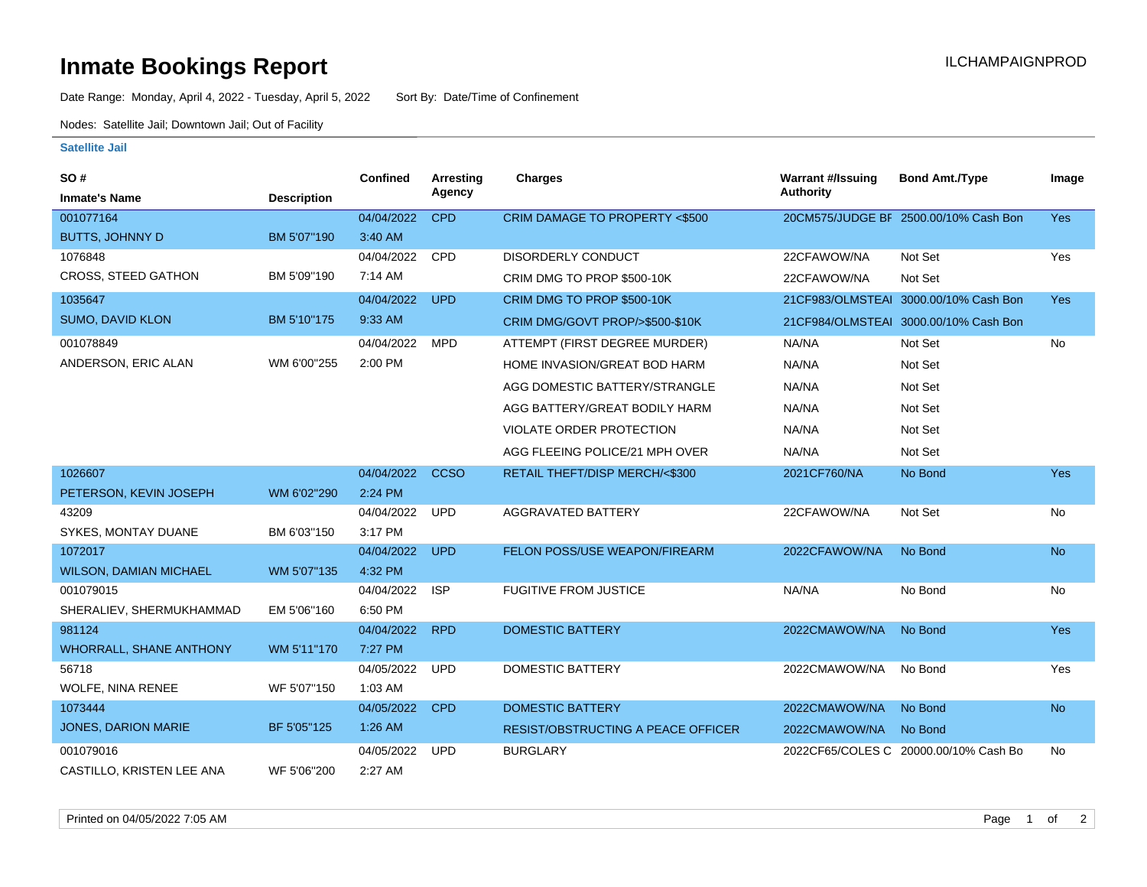## **Inmate Bookings Report International Contract Contract Contract Contract Contract Contract Contract Contract Contract Contract Contract Contract Contract Contract Contract Contract Contract Contract Contract Contract Co**

Date Range: Monday, April 4, 2022 - Tuesday, April 5, 2022 Sort By: Date/Time of Confinement

Nodes: Satellite Jail; Downtown Jail; Out of Facility

## **Satellite Jail**

| SO#                            |                    | Confined   | Arresting   | <b>Charges</b>                            | <b>Warrant #/Issuing</b> | <b>Bond Amt./Type</b>                 | Image      |
|--------------------------------|--------------------|------------|-------------|-------------------------------------------|--------------------------|---------------------------------------|------------|
| <b>Inmate's Name</b>           | <b>Description</b> |            | Agency      |                                           | <b>Authority</b>         |                                       |            |
| 001077164                      |                    | 04/04/2022 | <b>CPD</b>  | CRIM DAMAGE TO PROPERTY <\$500            |                          | 20CM575/JUDGE BF 2500.00/10% Cash Bon | <b>Yes</b> |
| <b>BUTTS, JOHNNY D</b>         | BM 5'07"190        | 3:40 AM    |             |                                           |                          |                                       |            |
| 1076848                        |                    | 04/04/2022 | CPD         | <b>DISORDERLY CONDUCT</b>                 | 22CFAWOW/NA              | Not Set                               | Yes        |
| <b>CROSS, STEED GATHON</b>     | BM 5'09"190        | 7:14 AM    |             | CRIM DMG TO PROP \$500-10K                | 22CFAWOW/NA              | Not Set                               |            |
| 1035647                        |                    | 04/04/2022 | <b>UPD</b>  | CRIM DMG TO PROP \$500-10K                |                          | 21CF983/OLMSTEAI 3000.00/10% Cash Bon | Yes        |
| <b>SUMO, DAVID KLON</b>        | BM 5'10"175        | 9:33 AM    |             | CRIM DMG/GOVT PROP/>\$500-\$10K           |                          | 21CF984/OLMSTEAI 3000.00/10% Cash Bon |            |
| 001078849                      |                    | 04/04/2022 | <b>MPD</b>  | ATTEMPT (FIRST DEGREE MURDER)             | NA/NA                    | Not Set                               | No         |
| ANDERSON, ERIC ALAN            | WM 6'00"255        | 2:00 PM    |             | HOME INVASION/GREAT BOD HARM              | NA/NA                    | Not Set                               |            |
|                                |                    |            |             | AGG DOMESTIC BATTERY/STRANGLE             | NA/NA                    | Not Set                               |            |
|                                |                    |            |             | AGG BATTERY/GREAT BODILY HARM             | NA/NA                    | Not Set                               |            |
|                                |                    |            |             | VIOLATE ORDER PROTECTION                  | NA/NA                    | Not Set                               |            |
|                                |                    |            |             | AGG FLEEING POLICE/21 MPH OVER            | NA/NA                    | Not Set                               |            |
| 1026607                        |                    | 04/04/2022 | <b>CCSO</b> | RETAIL THEFT/DISP MERCH/<\$300            | 2021CF760/NA             | No Bond                               | <b>Yes</b> |
| PETERSON, KEVIN JOSEPH         | WM 6'02"290        | 2:24 PM    |             |                                           |                          |                                       |            |
| 43209                          |                    | 04/04/2022 | <b>UPD</b>  | <b>AGGRAVATED BATTERY</b>                 | 22CFAWOW/NA              | Not Set                               | No         |
| SYKES, MONTAY DUANE            | BM 6'03"150        | 3:17 PM    |             |                                           |                          |                                       |            |
| 1072017                        |                    | 04/04/2022 | <b>UPD</b>  | FELON POSS/USE WEAPON/FIREARM             | 2022CFAWOW/NA            | No Bond                               | <b>No</b>  |
| <b>WILSON, DAMIAN MICHAEL</b>  | WM 5'07"135        | 4:32 PM    |             |                                           |                          |                                       |            |
| 001079015                      |                    | 04/04/2022 | <b>ISP</b>  | <b>FUGITIVE FROM JUSTICE</b>              | NA/NA                    | No Bond                               | <b>No</b>  |
| SHERALIEV, SHERMUKHAMMAD       | EM 5'06"160        | 6:50 PM    |             |                                           |                          |                                       |            |
| 981124                         |                    | 04/04/2022 | <b>RPD</b>  | <b>DOMESTIC BATTERY</b>                   | 2022CMAWOW/NA            | No Bond                               | <b>Yes</b> |
| <b>WHORRALL, SHANE ANTHONY</b> | WM 5'11"170        | 7:27 PM    |             |                                           |                          |                                       |            |
| 56718                          |                    | 04/05/2022 | <b>UPD</b>  | <b>DOMESTIC BATTERY</b>                   | 2022CMAWOW/NA            | No Bond                               | Yes        |
| <b>WOLFE, NINA RENEE</b>       | WF 5'07"150        | 1:03 AM    |             |                                           |                          |                                       |            |
| 1073444                        |                    | 04/05/2022 | <b>CPD</b>  | <b>DOMESTIC BATTERY</b>                   | 2022CMAWOW/NA            | No Bond                               | <b>No</b>  |
| JONES, DARION MARIE            | BF 5'05"125        | $1:26$ AM  |             | <b>RESIST/OBSTRUCTING A PEACE OFFICER</b> | 2022CMAWOW/NA            | No Bond                               |            |
| 001079016                      |                    | 04/05/2022 | <b>UPD</b>  | <b>BURGLARY</b>                           |                          | 2022CF65/COLES C 20000.00/10% Cash Bo | <b>No</b>  |
| CASTILLO, KRISTEN LEE ANA      | WF 5'06"200        | 2:27 AM    |             |                                           |                          |                                       |            |